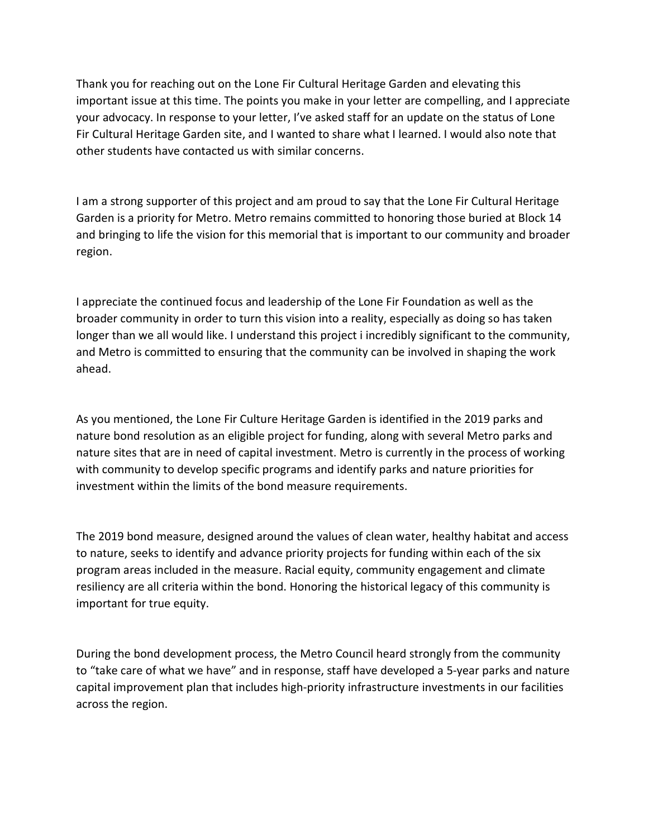Thank you for reaching out on the Lone Fir Cultural Heritage Garden and elevating this important issue at this time. The points you make in your letter are compelling, and I appreciate your advocacy. In response to your letter, I've asked staff for an update on the status of Lone Fir Cultural Heritage Garden site, and I wanted to share what I learned. I would also note that other students have contacted us with similar concerns.

I am a strong supporter of this project and am proud to say that the Lone Fir Cultural Heritage Garden is a priority for Metro. Metro remains committed to honoring those buried at Block 14 and bringing to life the vision for this memorial that is important to our community and broader region.

I appreciate the continued focus and leadership of the Lone Fir Foundation as well as the broader community in order to turn this vision into a reality, especially as doing so has taken longer than we all would like. I understand this project i incredibly significant to the community, and Metro is committed to ensuring that the community can be involved in shaping the work ahead.

As you mentioned, the Lone Fir Culture Heritage Garden is identified in the 2019 parks and nature bond resolution as an eligible project for funding, along with several Metro parks and nature sites that are in need of capital investment. Metro is currently in the process of working with community to develop specific programs and identify parks and nature priorities for investment within the limits of the bond measure requirements.

The 2019 bond measure, designed around the values of clean water, healthy habitat and access to nature, seeks to identify and advance priority projects for funding within each of the six program areas included in the measure. Racial equity, community engagement and climate resiliency are all criteria within the bond. Honoring the historical legacy of this community is important for true equity.

During the bond development process, the Metro Council heard strongly from the community to "take care of what we have" and in response, staff have developed a 5-year parks and nature capital improvement plan that includes high-priority infrastructure investments in our facilities across the region.